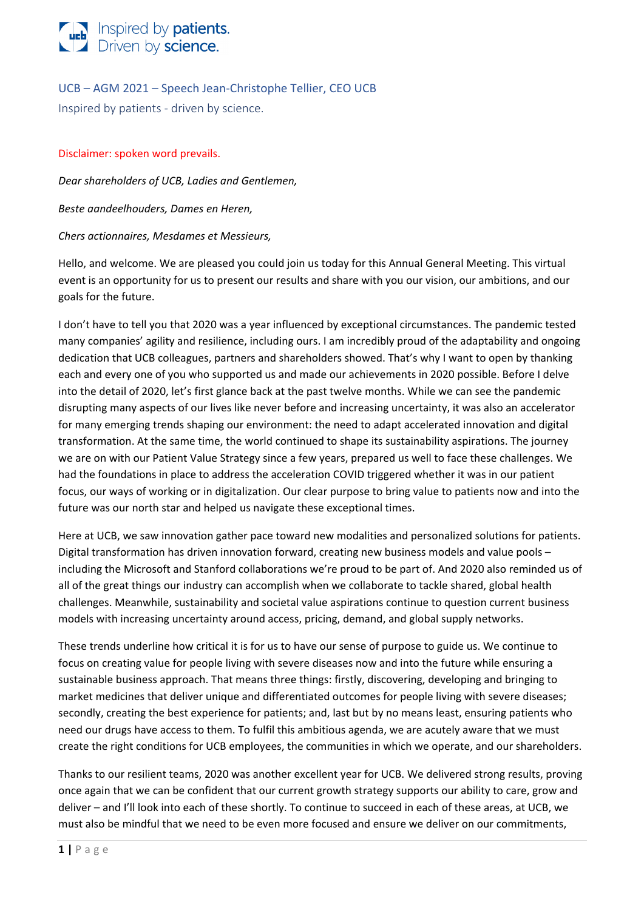

UCB – AGM 2021 – Speech Jean-Christophe Tellier, CEO UCB

Inspired by patients - driven by science.

### Disclaimer: spoken word prevails.

*Dear shareholders of UCB, Ladies and Gentlemen,*

*Beste aandeelhouders, Dames en Heren,*

#### *Chers actionnaires, Mesdames et Messieurs,*

Hello, and welcome. We are pleased you could join us today for this Annual General Meeting. This virtual event is an opportunity for us to present our results and share with you our vision, our ambitions, and our goals for the future.

I don't have to tell you that 2020 was a year influenced by exceptional circumstances. The pandemic tested many companies' agility and resilience, including ours. I am incredibly proud of the adaptability and ongoing dedication that UCB colleagues, partners and shareholders showed. That's why I want to open by thanking each and every one of you who supported us and made our achievements in 2020 possible. Before I delve into the detail of 2020, let's first glance back at the past twelve months. While we can see the pandemic disrupting many aspects of our lives like never before and increasing uncertainty, it was also an accelerator for many emerging trends shaping our environment: the need to adapt accelerated innovation and digital transformation. At the same time, the world continued to shape its sustainability aspirations. The journey we are on with our Patient Value Strategy since a few years, prepared us well to face these challenges. We had the foundations in place to address the acceleration COVID triggered whether it was in our patient focus, our ways of working or in digitalization. Our clear purpose to bring value to patients now and into the future was our north star and helped us navigate these exceptional times.

Here at UCB, we saw innovation gather pace toward new modalities and personalized solutions for patients. Digital transformation has driven innovation forward, creating new business models and value pools – including the Microsoft and Stanford collaborations we're proud to be part of. And 2020 also reminded us of all of the great things our industry can accomplish when we collaborate to tackle shared, global health challenges. Meanwhile, sustainability and societal value aspirations continue to question current business models with increasing uncertainty around access, pricing, demand, and global supply networks.

These trends underline how critical it is for us to have our sense of purpose to guide us. We continue to focus on creating value for people living with severe diseases now and into the future while ensuring a sustainable business approach. That means three things: firstly, discovering, developing and bringing to market medicines that deliver unique and differentiated outcomes for people living with severe diseases; secondly, creating the best experience for patients; and, last but by no means least, ensuring patients who need our drugs have access to them. To fulfil this ambitious agenda, we are acutely aware that we must create the right conditions for UCB employees, the communities in which we operate, and our shareholders.

Thanks to our resilient teams, 2020 was another excellent year for UCB. We delivered strong results, proving once again that we can be confident that our current growth strategy supports our ability to care, grow and deliver – and I'll look into each of these shortly. To continue to succeed in each of these areas, at UCB, we must also be mindful that we need to be even more focused and ensure we deliver on our commitments,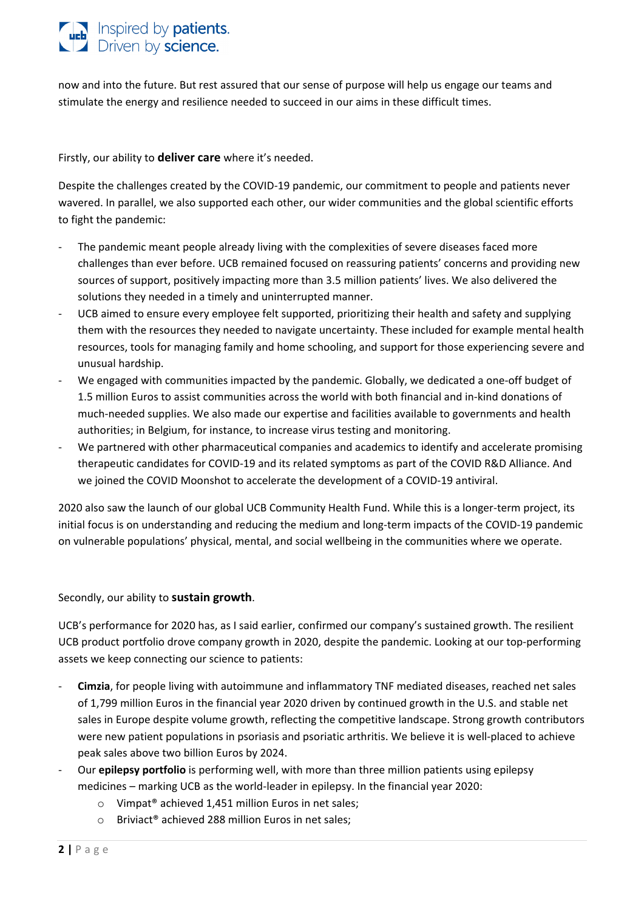## **The University of Serients.**<br>Driven by **science**.

now and into the future. But rest assured that our sense of purpose will help us engage our teams and stimulate the energy and resilience needed to succeed in our aims in these difficult times.

Firstly, our ability to **deliver care** where it's needed.

Despite the challenges created by the COVID-19 pandemic, our commitment to people and patients never wavered. In parallel, we also supported each other, our wider communities and the global scientific efforts to fight the pandemic:

- The pandemic meant people already living with the complexities of severe diseases faced more challenges than ever before. UCB remained focused on reassuring patients' concerns and providing new sources of support, positively impacting more than 3.5 million patients' lives. We also delivered the solutions they needed in a timely and uninterrupted manner.
- UCB aimed to ensure every employee felt supported, prioritizing their health and safety and supplying them with the resources they needed to navigate uncertainty. These included for example mental health resources, tools for managing family and home schooling, and support for those experiencing severe and unusual hardship.
- We engaged with communities impacted by the pandemic. Globally, we dedicated a one-off budget of 1.5 million Euros to assist communities across the world with both financial and in-kind donations of much-needed supplies. We also made our expertise and facilities available to governments and health authorities; in Belgium, for instance, to increase virus testing and monitoring.
- We partnered with other pharmaceutical companies and academics to identify and accelerate promising therapeutic candidates for COVID-19 and its related symptoms as part of the COVID R&D Alliance. And we joined the COVID Moonshot to accelerate the development of a COVID-19 antiviral.

2020 also saw the launch of our global UCB Community Health Fund. While this is a longer-term project, its initial focus is on understanding and reducing the medium and long-term impacts of the COVID-19 pandemic on vulnerable populations' physical, mental, and social wellbeing in the communities where we operate.

Secondly, our ability to **sustain growth**.

UCB's performance for 2020 has, as I said earlier, confirmed our company's sustained growth. The resilient UCB product portfolio drove company growth in 2020, despite the pandemic. Looking at our top-performing assets we keep connecting our science to patients:

- **Cimzia**, for people living with autoimmune and inflammatory TNF mediated diseases, reached net sales of 1,799 million Euros in the financial year 2020 driven by continued growth in the U.S. and stable net sales in Europe despite volume growth, reflecting the competitive landscape. Strong growth contributors were new patient populations in psoriasis and psoriatic arthritis. We believe it is well-placed to achieve peak sales above two billion Euros by 2024.
- Our **epilepsy portfolio** is performing well, with more than three million patients using epilepsy medicines – marking UCB as the world-leader in epilepsy. In the financial year 2020:
	- o Vimpat® achieved 1,451 million Euros in net sales;
	- o Briviact® achieved 288 million Euros in net sales;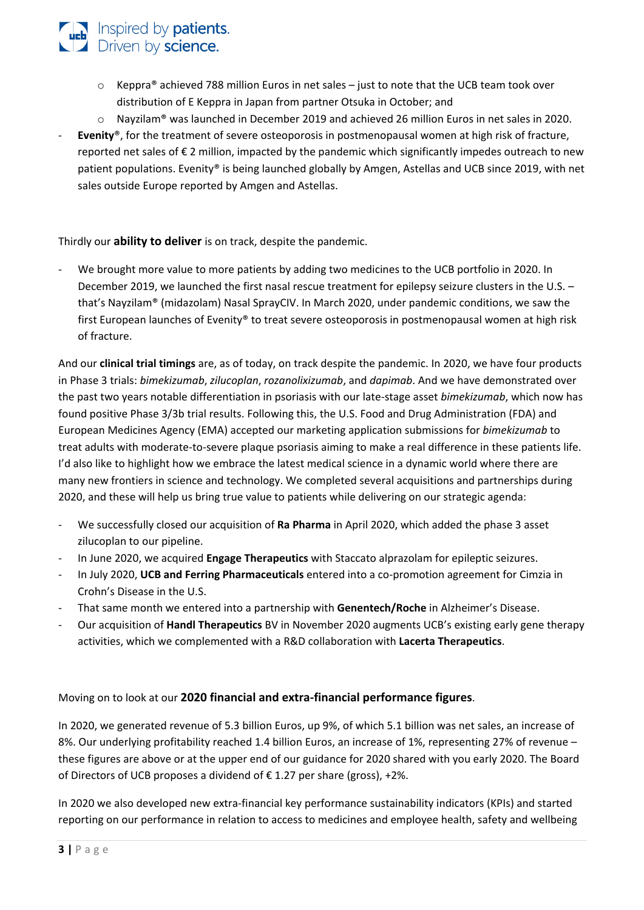## $\circ$  Keppra® achieved 788 million Euros in net sales – just to note that the UCB team took over distribution of E Keppra in Japan from partner Otsuka in October; and

- o Nayzilam® was launched in December 2019 and achieved 26 million Euros in net sales in 2020.
- Evenity<sup>®</sup>, for the treatment of severe osteoporosis in postmenopausal women at high risk of fracture, reported net sales of € 2 million, impacted by the pandemic which significantly impedes outreach to new patient populations. Evenity® is being launched globally by Amgen, Astellas and UCB since 2019, with net sales outside Europe reported by Amgen and Astellas.

Thirdly our **ability to deliver** is on track, despite the pandemic.

**The University of Serients.**<br>Driven by **science**.

We brought more value to more patients by adding two medicines to the UCB portfolio in 2020. In December 2019, we launched the first nasal rescue treatment for epilepsy seizure clusters in the U.S. – that's Nayzilam® (midazolam) Nasal SprayCIV. In March 2020, under pandemic conditions, we saw the first European launches of Evenity® to treat severe osteoporosis in postmenopausal women at high risk of fracture.

And our **clinical trial timings** are, as of today, on track despite the pandemic. In 2020, we have four products in Phase 3 trials: *bimekizumab*, *zilucoplan*, *rozanolixizumab*, and *dapimab*. And we have demonstrated over the past two years notable differentiation in psoriasis with our late-stage asset *bimekizumab*, which now has found positive Phase 3/3b trial results. Following this, the U.S. Food and Drug Administration (FDA) and European Medicines Agency (EMA) accepted our marketing application submissions for *bimekizumab* to treat adults with moderate-to-severe plaque psoriasis aiming to make a real difference in these patients life. I'd also like to highlight how we embrace the latest medical science in a dynamic world where there are many new frontiers in science and technology. We completed several acquisitions and partnerships during 2020, and these will help us bring true value to patients while delivering on our strategic agenda:

- We successfully closed our acquisition of **Ra Pharma** in April 2020, which added the phase 3 asset zilucoplan to our pipeline.
- In June 2020, we acquired **Engage Therapeutics** with Staccato alprazolam for epileptic seizures.
- In July 2020, **UCB and Ferring Pharmaceuticals** entered into a co-promotion agreement for Cimzia in Crohn's Disease in the U.S.
- That same month we entered into a partnership with **Genentech/Roche** in Alzheimer's Disease.
- Our acquisition of **Handl Therapeutics** BV in November 2020 augments UCB's existing early gene therapy activities, which we complemented with a R&D collaboration with **Lacerta Therapeutics**.

### Moving on to look at our **2020 financial and extra-financial performance figures**.

In 2020, we generated revenue of 5.3 billion Euros, up 9%, of which 5.1 billion was net sales, an increase of 8%. Our underlying profitability reached 1.4 billion Euros, an increase of 1%, representing 27% of revenue – these figures are above or at the upper end of our guidance for 2020 shared with you early 2020. The Board of Directors of UCB proposes a dividend of  $\epsilon$  1.27 per share (gross), +2%.

In 2020 we also developed new extra-financial key performance sustainability indicators (KPIs) and started reporting on our performance in relation to access to medicines and employee health, safety and wellbeing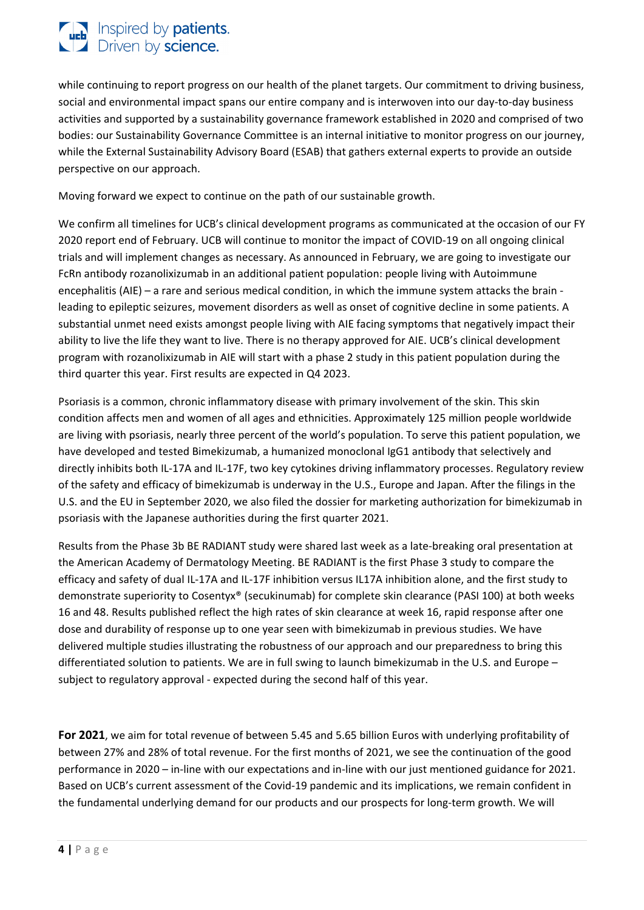# **The Inspired by patients.**<br>Driven by science.

while continuing to report progress on our health of the planet targets. Our commitment to driving business, social and environmental impact spans our entire company and is interwoven into our day-to-day business activities and supported by a sustainability governance framework established in 2020 and comprised of two bodies: our Sustainability Governance Committee is an internal initiative to monitor progress on our journey, while the External Sustainability Advisory Board (ESAB) that gathers external experts to provide an outside perspective on our approach.

Moving forward we expect to continue on the path of our sustainable growth.

We confirm all timelines for UCB's clinical development programs as communicated at the occasion of our FY 2020 report end of February. UCB will continue to monitor the impact of COVID-19 on all ongoing clinical trials and will implement changes as necessary. As announced in February, we are going to investigate our FcRn antibody rozanolixizumab in an additional patient population: people living with Autoimmune encephalitis (AIE) – a rare and serious medical condition, in which the immune system attacks the brain leading to epileptic seizures, movement disorders as well as onset of cognitive decline in some patients. A substantial unmet need exists amongst people living with AIE facing symptoms that negatively impact their ability to live the life they want to live. There is no therapy approved for AIE. UCB's clinical development program with rozanolixizumab in AIE will start with a phase 2 study in this patient population during the third quarter this year. First results are expected in Q4 2023.

Psoriasis is a common, chronic inflammatory disease with primary involvement of the skin. This skin condition affects men and women of all ages and ethnicities. Approximately 125 million people worldwide are living with psoriasis, nearly three percent of the world's population. To serve this patient population, we have developed and tested Bimekizumab, a humanized monoclonal IgG1 antibody that selectively and directly inhibits both IL-17A and IL-17F, two key cytokines driving inflammatory processes. Regulatory review of the safety and efficacy of bimekizumab is underway in the U.S., Europe and Japan. After the filings in the U.S. and the EU in September 2020, we also filed the dossier for marketing authorization for bimekizumab in psoriasis with the Japanese authorities during the first quarter 2021.

Results from the Phase 3b BE RADIANT study were shared last week as a late-breaking oral presentation at the American Academy of Dermatology Meeting. BE RADIANT is the first Phase 3 study to compare the efficacy and safety of dual IL-17A and IL-17F inhibition versus IL17A inhibition alone, and the first study to demonstrate superiority to Cosentyx® (secukinumab) for complete skin clearance (PASI 100) at both weeks 16 and 48. Results published reflect the high rates of skin clearance at week 16, rapid response after one dose and durability of response up to one year seen with bimekizumab in previous studies. We have delivered multiple studies illustrating the robustness of our approach and our preparedness to bring this differentiated solution to patients. We are in full swing to launch bimekizumab in the U.S. and Europe – subject to regulatory approval - expected during the second half of this year.

**For 2021**, we aim for total revenue of between 5.45 and 5.65 billion Euros with underlying profitability of between 27% and 28% of total revenue. For the first months of 2021, we see the continuation of the good performance in 2020 – in-line with our expectations and in-line with our just mentioned guidance for 2021. Based on UCB's current assessment of the Covid-19 pandemic and its implications, we remain confident in the fundamental underlying demand for our products and our prospects for long-term growth. We will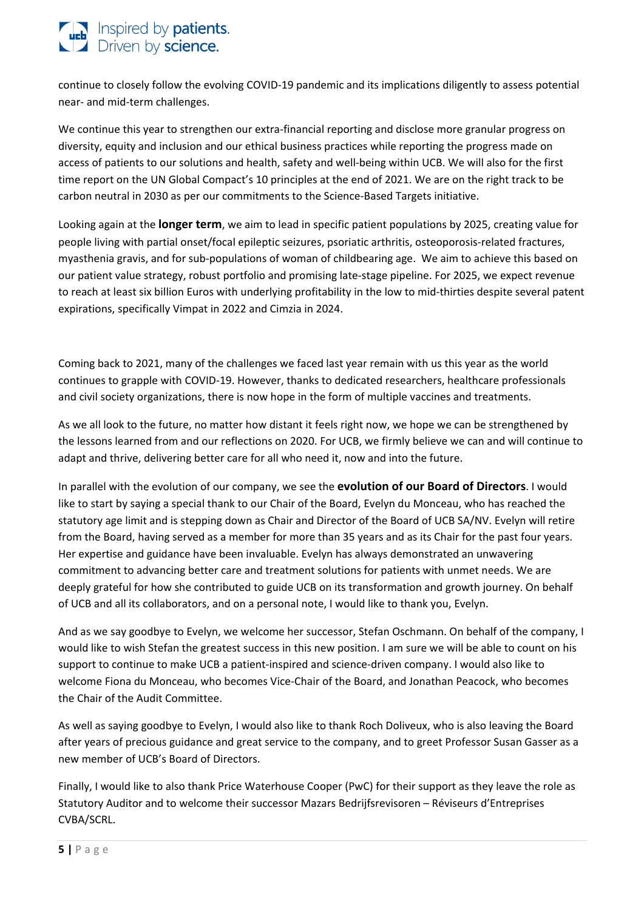## **The United by patients.**<br>Driven by **science.**

continue to closely follow the evolving COVID-19 pandemic and its implications diligently to assess potential near- and mid-term challenges.

We continue this year to strengthen our extra-financial reporting and disclose more granular progress on diversity, equity and inclusion and our ethical business practices while reporting the progress made on access of patients to our solutions and health, safety and well-being within UCB. We will also for the first time report on the UN Global Compact's 10 principles at the end of 2021. We are on the right track to be carbon neutral in 2030 as per our commitments to the Science-Based Targets initiative.

Looking again at the **longer term**, we aim to lead in specific patient populations by 2025, creating value for people living with partial onset/focal epileptic seizures, psoriatic arthritis, osteoporosis-related fractures, myasthenia gravis, and for sub-populations of woman of childbearing age. We aim to achieve this based on our patient value strategy, robust portfolio and promising late-stage pipeline. For 2025, we expect revenue to reach at least six billion Euros with underlying profitability in the low to mid-thirties despite several patent expirations, specifically Vimpat in 2022 and Cimzia in 2024.

Coming back to 2021, many of the challenges we faced last year remain with us this year as the world continues to grapple with COVID-19. However, thanks to dedicated researchers, healthcare professionals and civil society organizations, there is now hope in the form of multiple vaccines and treatments.

As we all look to the future, no matter how distant it feels right now, we hope we can be strengthened by the lessons learned from and our reflections on 2020. For UCB, we firmly believe we can and will continue to adapt and thrive, delivering better care for all who need it, now and into the future.

In parallel with the evolution of our company, we see the **evolution of our Board of Directors**. I would like to start by saying a special thank to our Chair of the Board, Evelyn du Monceau, who has reached the statutory age limit and is stepping down as Chair and Director of the Board of UCB SA/NV. Evelyn will retire from the Board, having served as a member for more than 35 years and as its Chair for the past four years. Her expertise and guidance have been invaluable. Evelyn has always demonstrated an unwavering commitment to advancing better care and treatment solutions for patients with unmet needs. We are deeply grateful for how she contributed to guide UCB on its transformation and growth journey. On behalf of UCB and all its collaborators, and on a personal note, I would like to thank you, Evelyn.

And as we say goodbye to Evelyn, we welcome her successor, Stefan Oschmann. On behalf of the company, I would like to wish Stefan the greatest success in this new position. I am sure we will be able to count on his support to continue to make UCB a patient-inspired and science-driven company. I would also like to welcome Fiona du Monceau, who becomes Vice-Chair of the Board, and Jonathan Peacock, who becomes the Chair of the Audit Committee.

As well as saying goodbye to Evelyn, I would also like to thank Roch Doliveux, who is also leaving the Board after years of precious guidance and great service to the company, and to greet Professor Susan Gasser as a new member of UCB's Board of Directors.

Finally, I would like to also thank Price Waterhouse Cooper (PwC) for their support as they leave the role as Statutory Auditor and to welcome their successor Mazars Bedrijfsrevisoren – Réviseurs d'Entreprises CVBA/SCRL.